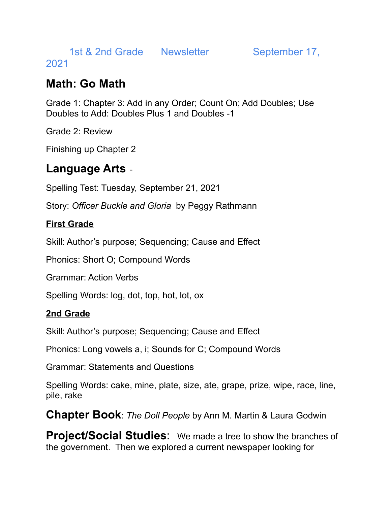1st & 2nd Grade Newsletter September 17,

2021

## **Math: Go Math**

Grade 1: Chapter 3: Add in any Order; Count On; Add Doubles; Use Doubles to Add: Doubles Plus 1 and Doubles -1

Grade 2: Review

Finishing up Chapter 2

# **Language Arts** -

Spelling Test: Tuesday, September 21, 2021

Story: *Officer Buckle and Gloria* by Peggy Rathmann

#### **First Grade**

Skill: Author's purpose; Sequencing; Cause and Effect

Phonics: Short O; Compound Words

Grammar: Action Verbs

Spelling Words: log, dot, top, hot, lot, ox

#### **2nd Grade**

Skill: Author's purpose; Sequencing; Cause and Effect

Phonics: Long vowels a, i; Sounds for C; Compound Words

Grammar: Statements and Questions

Spelling Words: cake, mine, plate, size, ate, grape, prize, wipe, race, line, pile, rake

**Chapter Book**: *The Doll People* by Ann M. Martin & Laura Godwin

**Project/Social Studies**: We made a tree to show the branches of the government. Then we explored a current newspaper looking for